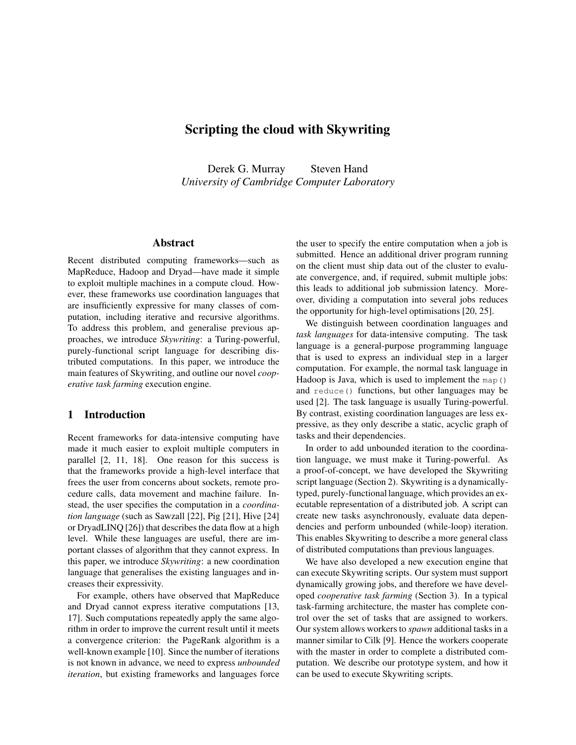# **Scripting the cloud with Skywriting**

Derek G. Murray Steven Hand *University of Cambridge Computer Laboratory*

## **Abstract**

Recent distributed computing frameworks—such as MapReduce, Hadoop and Dryad—have made it simple to exploit multiple machines in a compute cloud. However, these frameworks use coordination languages that are insufficiently expressive for many classes of computation, including iterative and recursive algorithms. To address this problem, and generalise previous approaches, we introduce *Skywriting*: a Turing-powerful, purely-functional script language for describing distributed computations. In this paper, we introduce the main features of Skywriting, and outline our novel *cooperative task farming* execution engine.

## **1 Introduction**

Recent frameworks for data-intensive computing have made it much easier to exploit multiple computers in parallel [2, 11, 18]. One reason for this success is that the frameworks provide a high-level interface that frees the user from concerns about sockets, remote procedure calls, data movement and machine failure. Instead, the user specifies the computation in a *coordination language* (such as Sawzall [22], Pig [21], Hive [24] or DryadLINQ [26]) that describes the data flow at a high level. While these languages are useful, there are important classes of algorithm that they cannot express. In this paper, we introduce *Skywriting*: a new coordination language that generalises the existing languages and increases their expressivity.

For example, others have observed that MapReduce and Dryad cannot express iterative computations [13, 17]. Such computations repeatedly apply the same algorithm in order to improve the current result until it meets a convergence criterion: the PageRank algorithm is a well-known example [10]. Since the number of iterations is not known in advance, we need to express *unbounded iteration*, but existing frameworks and languages force the user to specify the entire computation when a job is submitted. Hence an additional driver program running on the client must ship data out of the cluster to evaluate convergence, and, if required, submit multiple jobs: this leads to additional job submission latency. Moreover, dividing a computation into several jobs reduces the opportunity for high-level optimisations [20, 25].

We distinguish between coordination languages and *task languages* for data-intensive computing. The task language is a general-purpose programming language that is used to express an individual step in a larger computation. For example, the normal task language in Hadoop is Java, which is used to implement the map() and reduce() functions, but other languages may be used [2]. The task language is usually Turing-powerful. By contrast, existing coordination languages are less expressive, as they only describe a static, acyclic graph of tasks and their dependencies.

In order to add unbounded iteration to the coordination language, we must make it Turing-powerful. As a proof-of-concept, we have developed the Skywriting script language (Section 2). Skywriting is a dynamicallytyped, purely-functional language, which provides an executable representation of a distributed job. A script can create new tasks asynchronously, evaluate data dependencies and perform unbounded (while-loop) iteration. This enables Skywriting to describe a more general class of distributed computations than previous languages.

We have also developed a new execution engine that can execute Skywriting scripts. Our system must support dynamically growing jobs, and therefore we have developed *cooperative task farming* (Section 3). In a typical task-farming architecture, the master has complete control over the set of tasks that are assigned to workers. Our system allows workers to *spawn* additional tasks in a manner similar to Cilk [9]. Hence the workers cooperate with the master in order to complete a distributed computation. We describe our prototype system, and how it can be used to execute Skywriting scripts.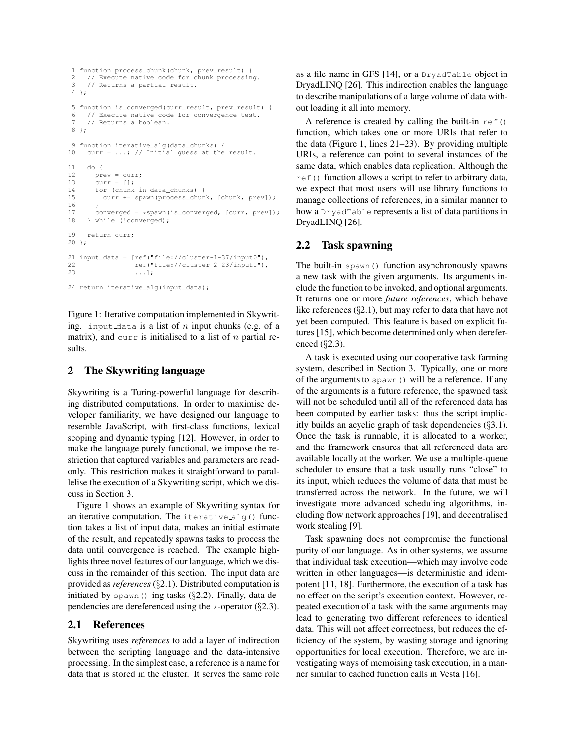```
1 function process_chunk(chunk, prev_result) {
2 // Execute native code for chunk processing.<br>3 // Returns a partial result.
     // Returns a partial result.
4 };
5 function is_converged(curr_result, prev_result) {
6 // Execute native code for convergence test.<br>7 // Returns a boolean.
     7 // Returns a boolean.
8 };
9 function iterative alg(data_chunks) {
10 curr = ...; // Initial quess at the result.
11 do {
12 prev = curr;
13 curr = [];
14 for (chunk in data_chunks) {
15 curr += spawn(process_chunk, [chunk, prev]);
16 }
17 converged = *spawn(is_converged, [curr, prev]);<br>18 } while (!converged);
     } while (!converged);
19 return curr;
20 };
21 input_data = [ref("file://cluster-1-37/input0"),
22 ref("file://cluster-2-23/input1"), \frac{1}{23}\ldots];
24 return iterative_alg(input_data);
```
Figure 1: Iterative computation implemented in Skywriting. input data is a list of  $n$  input chunks (e.g. of a matrix), and curr is initialised to a list of n partial results.

## **2 The Skywriting language**

Skywriting is a Turing-powerful language for describing distributed computations. In order to maximise developer familiarity, we have designed our language to resemble JavaScript, with first-class functions, lexical scoping and dynamic typing [12]. However, in order to make the language purely functional, we impose the restriction that captured variables and parameters are readonly. This restriction makes it straightforward to parallelise the execution of a Skywriting script, which we discuss in Section 3.

Figure 1 shows an example of Skywriting syntax for an iterative computation. The iterative alg() function takes a list of input data, makes an initial estimate of the result, and repeatedly spawns tasks to process the data until convergence is reached. The example highlights three novel features of our language, which we discuss in the remainder of this section. The input data are provided as *references* (§2.1). Distributed computation is initiated by spawn()-ing tasks  $(\S2.2)$ . Finally, data dependencies are dereferenced using the  $\ast$ -operator (§2.3).

## **2.1 References**

Skywriting uses *references* to add a layer of indirection between the scripting language and the data-intensive processing. In the simplest case, a reference is a name for data that is stored in the cluster. It serves the same role as a file name in GFS [14], or a DryadTable object in DryadLINQ [26]. This indirection enables the language to describe manipulations of a large volume of data without loading it all into memory.

A reference is created by calling the built-in  $ref()$ function, which takes one or more URIs that refer to the data (Figure 1, lines 21–23). By providing multiple URIs, a reference can point to several instances of the same data, which enables data replication. Although the ref() function allows a script to refer to arbitrary data, we expect that most users will use library functions to manage collections of references, in a similar manner to how a DryadTable represents a list of data partitions in DryadLINQ [26].

## **2.2 Task spawning**

The built-in spawn() function asynchronously spawns a new task with the given arguments. Its arguments include the function to be invoked, and optional arguments. It returns one or more *future references*, which behave like references (§2.1), but may refer to data that have not yet been computed. This feature is based on explicit futures [15], which become determined only when dereferenced (§2.3).

A task is executed using our cooperative task farming system, described in Section 3. Typically, one or more of the arguments to spawn() will be a reference. If any of the arguments is a future reference, the spawned task will not be scheduled until all of the referenced data has been computed by earlier tasks: thus the script implicitly builds an acyclic graph of task dependencies (§3.1). Once the task is runnable, it is allocated to a worker, and the framework ensures that all referenced data are available locally at the worker. We use a multiple-queue scheduler to ensure that a task usually runs "close" to its input, which reduces the volume of data that must be transferred across the network. In the future, we will investigate more advanced scheduling algorithms, including flow network approaches [19], and decentralised work stealing [9].

Task spawning does not compromise the functional purity of our language. As in other systems, we assume that individual task execution—which may involve code written in other languages—is deterministic and idempotent [11, 18]. Furthermore, the execution of a task has no effect on the script's execution context. However, repeated execution of a task with the same arguments may lead to generating two different references to identical data. This will not affect correctness, but reduces the efficiency of the system, by wasting storage and ignoring opportunities for local execution. Therefore, we are investigating ways of memoising task execution, in a manner similar to cached function calls in Vesta [16].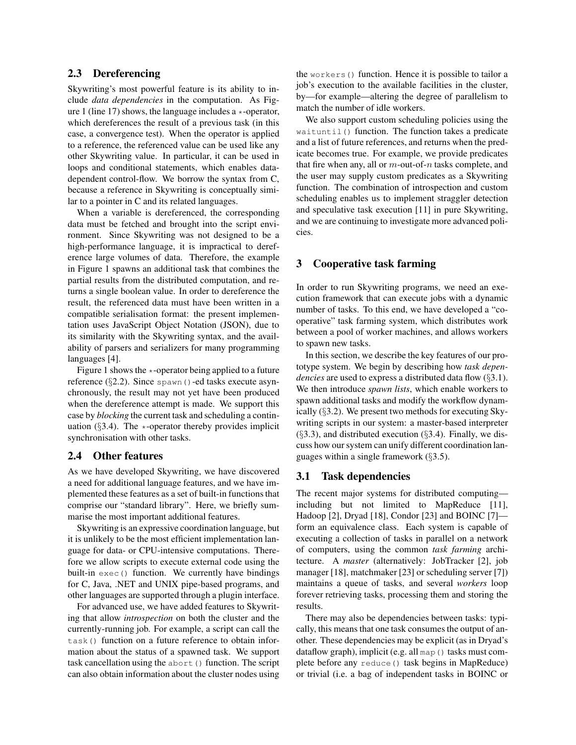## **2.3 Dereferencing**

Skywriting's most powerful feature is its ability to include *data dependencies* in the computation. As Figure 1 (line 17) shows, the language includes a  $\star$ -operator, which dereferences the result of a previous task (in this case, a convergence test). When the operator is applied to a reference, the referenced value can be used like any other Skywriting value. In particular, it can be used in loops and conditional statements, which enables datadependent control-flow. We borrow the syntax from C, because a reference in Skywriting is conceptually similar to a pointer in C and its related languages.

When a variable is dereferenced, the corresponding data must be fetched and brought into the script environment. Since Skywriting was not designed to be a high-performance language, it is impractical to dereference large volumes of data. Therefore, the example in Figure 1 spawns an additional task that combines the partial results from the distributed computation, and returns a single boolean value. In order to dereference the result, the referenced data must have been written in a compatible serialisation format: the present implementation uses JavaScript Object Notation (JSON), due to its similarity with the Skywriting syntax, and the availability of parsers and serializers for many programming languages [4].

Figure 1 shows the  $\star$ -operator being applied to a future reference  $(\S2.2)$ . Since spawn()-ed tasks execute asynchronously, the result may not yet have been produced when the dereference attempt is made. We support this case by *blocking* the current task and scheduling a continuation ( $\S$ 3.4). The  $\star$ -operator thereby provides implicit synchronisation with other tasks.

## **2.4 Other features**

As we have developed Skywriting, we have discovered a need for additional language features, and we have implemented these features as a set of built-in functions that comprise our "standard library". Here, we briefly summarise the most important additional features.

Skywriting is an expressive coordination language, but it is unlikely to be the most efficient implementation language for data- or CPU-intensive computations. Therefore we allow scripts to execute external code using the built-in exec() function. We currently have bindings for C, Java, .NET and UNIX pipe-based programs, and other languages are supported through a plugin interface.

For advanced use, we have added features to Skywriting that allow *introspection* on both the cluster and the currently-running job. For example, a script can call the task() function on a future reference to obtain information about the status of a spawned task. We support task cancellation using the abort () function. The script can also obtain information about the cluster nodes using the workers() function. Hence it is possible to tailor a job's execution to the available facilities in the cluster, by—for example—altering the degree of parallelism to match the number of idle workers.

We also support custom scheduling policies using the waituntil() function. The function takes a predicate and a list of future references, and returns when the predicate becomes true. For example, we provide predicates that fire when any, all or  $m$ -out-of- $n$  tasks complete, and the user may supply custom predicates as a Skywriting function. The combination of introspection and custom scheduling enables us to implement straggler detection and speculative task execution [11] in pure Skywriting, and we are continuing to investigate more advanced policies.

## **3 Cooperative task farming**

In order to run Skywriting programs, we need an execution framework that can execute jobs with a dynamic number of tasks. To this end, we have developed a "cooperative" task farming system, which distributes work between a pool of worker machines, and allows workers to spawn new tasks.

In this section, we describe the key features of our prototype system. We begin by describing how *task dependencies* are used to express a distributed data flow (§3.1). We then introduce *spawn lists*, which enable workers to spawn additional tasks and modify the workflow dynamically (§3.2). We present two methods for executing Skywriting scripts in our system: a master-based interpreter  $(\S3.3)$ , and distributed execution  $(\S3.4)$ . Finally, we discuss how our system can unify different coordination languages within a single framework (§3.5).

#### **3.1 Task dependencies**

The recent major systems for distributed computing including but not limited to MapReduce [11], Hadoop [2], Dryad [18], Condor [23] and BOINC [7] form an equivalence class. Each system is capable of executing a collection of tasks in parallel on a network of computers, using the common *task farming* architecture. A *master* (alternatively: JobTracker [2], job manager [18], matchmaker [23] or scheduling server [7]) maintains a queue of tasks, and several *workers* loop forever retrieving tasks, processing them and storing the results.

There may also be dependencies between tasks: typically, this means that one task consumes the output of another. These dependencies may be explicit (as in Dryad's dataflow graph), implicit (e.g. all map () tasks must complete before any reduce() task begins in MapReduce) or trivial (i.e. a bag of independent tasks in BOINC or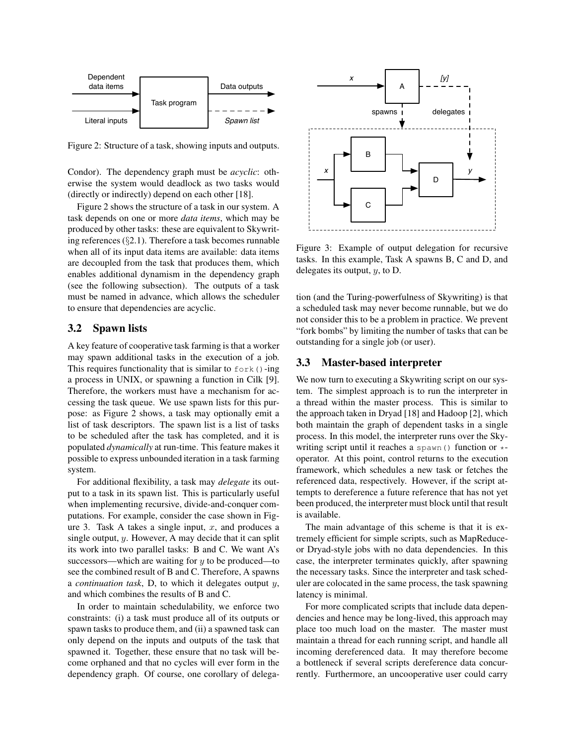

Figure 2: Structure of a task, showing inputs and outputs.

Condor). The dependency graph must be *acyclic*: otherwise the system would deadlock as two tasks would (directly or indirectly) depend on each other [18].

Figure 2 shows the structure of a task in our system. A task depends on one or more *data items*, which may be produced by other tasks: these are equivalent to Skywriting references (§2.1). Therefore a task becomes runnable when all of its input data items are available: data items are decoupled from the task that produces them, which enables additional dynamism in the dependency graph (see the following subsection). The outputs of a task must be named in advance, which allows the scheduler to ensure that dependencies are acyclic.

## **3.2 Spawn lists**

A key feature of cooperative task farming is that a worker may spawn additional tasks in the execution of a job. This requires functionality that is similar to  $f \circ r k$  ()-ing a process in UNIX, or spawning a function in Cilk [9]. Therefore, the workers must have a mechanism for accessing the task queue. We use spawn lists for this purpose: as Figure 2 shows, a task may optionally emit a list of task descriptors. The spawn list is a list of tasks to be scheduled after the task has completed, and it is populated *dynamically* at run-time. This feature makes it possible to express unbounded iteration in a task farming system.

For additional flexibility, a task may *delegate* its output to a task in its spawn list. This is particularly useful when implementing recursive, divide-and-conquer computations. For example, consider the case shown in Figure 3. Task A takes a single input,  $x$ , and produces a single output, y. However, A may decide that it can split its work into two parallel tasks: B and C. We want A's successors—which are waiting for  $y$  to be produced—to see the combined result of B and C. Therefore, A spawns a *continuation task*, D, to which it delegates output y, and which combines the results of B and C.

In order to maintain schedulability, we enforce two constraints: (i) a task must produce all of its outputs or spawn tasks to produce them, and (ii) a spawned task can only depend on the inputs and outputs of the task that spawned it. Together, these ensure that no task will become orphaned and that no cycles will ever form in the dependency graph. Of course, one corollary of delega-



Figure 3: Example of output delegation for recursive tasks. In this example, Task A spawns B, C and D, and delegates its output,  $y$ , to D.

tion (and the Turing-powerfulness of Skywriting) is that a scheduled task may never become runnable, but we do not consider this to be a problem in practice. We prevent "fork bombs" by limiting the number of tasks that can be outstanding for a single job (or user).

## **3.3 Master-based interpreter**

We now turn to executing a Skywriting script on our system. The simplest approach is to run the interpreter in a thread within the master process. This is similar to the approach taken in Dryad [18] and Hadoop [2], which both maintain the graph of dependent tasks in a single process. In this model, the interpreter runs over the Skywriting script until it reaches a spawn() function or  $\ast$ operator. At this point, control returns to the execution framework, which schedules a new task or fetches the referenced data, respectively. However, if the script attempts to dereference a future reference that has not yet been produced, the interpreter must block until that result is available.

The main advantage of this scheme is that it is extremely efficient for simple scripts, such as MapReduceor Dryad-style jobs with no data dependencies. In this case, the interpreter terminates quickly, after spawning the necessary tasks. Since the interpreter and task scheduler are colocated in the same process, the task spawning latency is minimal.

For more complicated scripts that include data dependencies and hence may be long-lived, this approach may place too much load on the master. The master must maintain a thread for each running script, and handle all incoming dereferenced data. It may therefore become a bottleneck if several scripts dereference data concurrently. Furthermore, an uncooperative user could carry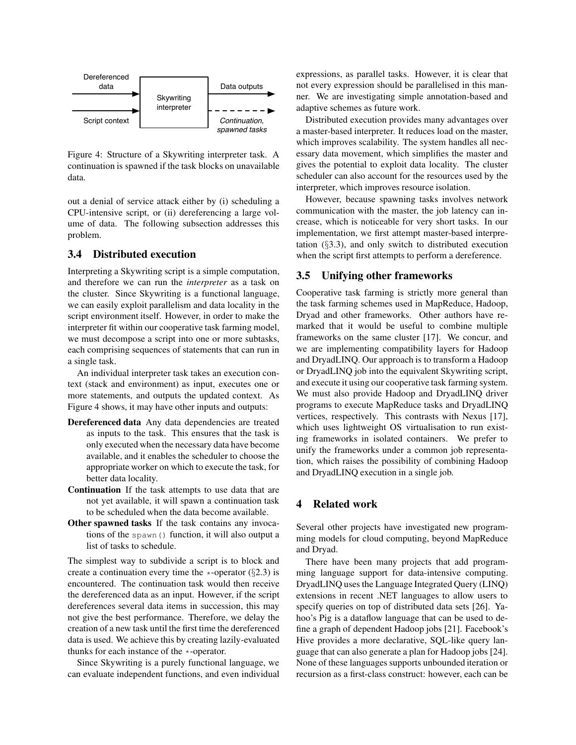

Figure 4: Structure of a Skywriting interpreter task. A continuation is spawned if the task blocks on unavailable data.

out a denial of service attack either by (i) scheduling a CPU-intensive script, or (ii) dereferencing a large volume of data. The following subsection addresses this problem.

## **3.4 Distributed execution**

Interpreting a Skywriting script is a simple computation, and therefore we can run the *interpreter* as a task on the cluster. Since Skywriting is a functional language, we can easily exploit parallelism and data locality in the script environment itself. However, in order to make the interpreter fit within our cooperative task farming model, we must decompose a script into one or more subtasks, each comprising sequences of statements that can run in a single task.

An individual interpreter task takes an execution context (stack and environment) as input, executes one or more statements, and outputs the updated context. As Figure 4 shows, it may have other inputs and outputs:

- **Dereferenced data** Any data dependencies are treated as inputs to the task. This ensures that the task is only executed when the necessary data have become available, and it enables the scheduler to choose the appropriate worker on which to execute the task, for better data locality.
- **Continuation** If the task attempts to use data that are not yet available, it will spawn a continuation task to be scheduled when the data become available.
- **Other spawned tasks** If the task contains any invocations of the spawn() function, it will also output a list of tasks to schedule.

The simplest way to subdivide a script is to block and create a continuation every time the  $\star$ -operator (§2.3) is encountered. The continuation task would then receive the dereferenced data as an input. However, if the script dereferences several data items in succession, this may not give the best performance. Therefore, we delay the creation of a new task until the first time the dereferenced data is used. We achieve this by creating lazily-evaluated thunks for each instance of the \*-operator.

Since Skywriting is a purely functional language, we can evaluate independent functions, and even individual expressions, as parallel tasks. However, it is clear that not every expression should be parallelised in this manner. We are investigating simple annotation-based and adaptive schemes as future work.

Distributed execution provides many advantages over a master-based interpreter. It reduces load on the master, which improves scalability. The system handles all necessary data movement, which simplifies the master and gives the potential to exploit data locality. The cluster scheduler can also account for the resources used by the interpreter, which improves resource isolation.

However, because spawning tasks involves network communication with the master, the job latency can increase, which is noticeable for very short tasks. In our implementation, we first attempt master-based interpretation (§3.3), and only switch to distributed execution when the script first attempts to perform a dereference.

#### **3.5 Unifying other frameworks**

Cooperative task farming is strictly more general than the task farming schemes used in MapReduce, Hadoop, Dryad and other frameworks. Other authors have remarked that it would be useful to combine multiple frameworks on the same cluster [17]. We concur, and we are implementing compatibility layers for Hadoop and DryadLINQ. Our approach is to transform a Hadoop or DryadLINQ job into the equivalent Skywriting script, and execute it using our cooperative task farming system. We must also provide Hadoop and DryadLINQ driver programs to execute MapReduce tasks and DryadLINQ vertices, respectively. This contrasts with Nexus [17], which uses lightweight OS virtualisation to run existing frameworks in isolated containers. We prefer to unify the frameworks under a common job representation, which raises the possibility of combining Hadoop and DryadLINQ execution in a single job.

## **4 Related work**

Several other projects have investigated new programming models for cloud computing, beyond MapReduce and Dryad.

There have been many projects that add programming language support for data-intensive computing. DryadLINQ uses the Language Integrated Query (LINQ) extensions in recent .NET languages to allow users to specify queries on top of distributed data sets [26]. Yahoo's Pig is a dataflow language that can be used to define a graph of dependent Hadoop jobs [21]. Facebook's Hive provides a more declarative, SQL-like query language that can also generate a plan for Hadoop jobs [24]. None of these languages supports unbounded iteration or recursion as a first-class construct: however, each can be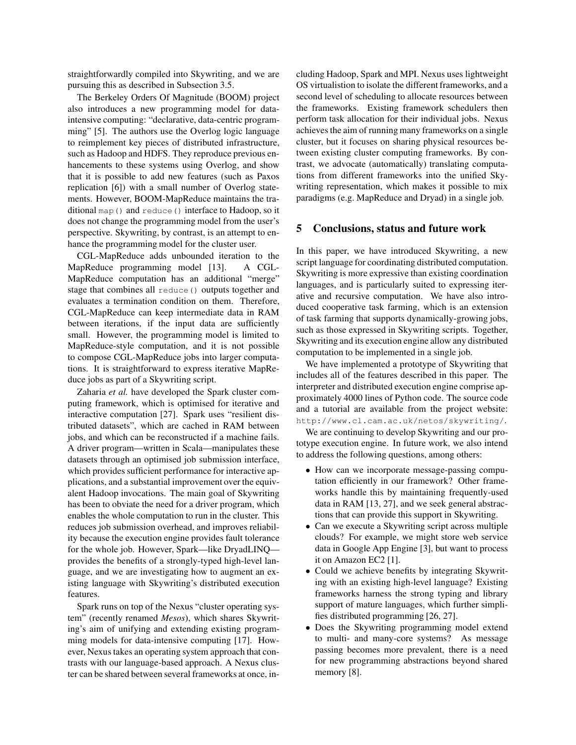straightforwardly compiled into Skywriting, and we are pursuing this as described in Subsection 3.5.

The Berkeley Orders Of Magnitude (BOOM) project also introduces a new programming model for dataintensive computing: "declarative, data-centric programming" [5]. The authors use the Overlog logic language to reimplement key pieces of distributed infrastructure, such as Hadoop and HDFS. They reproduce previous enhancements to these systems using Overlog, and show that it is possible to add new features (such as Paxos replication [6]) with a small number of Overlog statements. However, BOOM-MapReduce maintains the traditional map() and reduce() interface to Hadoop, so it does not change the programming model from the user's perspective. Skywriting, by contrast, is an attempt to enhance the programming model for the cluster user.

CGL-MapReduce adds unbounded iteration to the MapReduce programming model [13]. A CGL-MapReduce computation has an additional "merge" stage that combines all reduce() outputs together and evaluates a termination condition on them. Therefore, CGL-MapReduce can keep intermediate data in RAM between iterations, if the input data are sufficiently small. However, the programming model is limited to MapReduce-style computation, and it is not possible to compose CGL-MapReduce jobs into larger computations. It is straightforward to express iterative MapReduce jobs as part of a Skywriting script.

Zaharia *et al.* have developed the Spark cluster computing framework, which is optimised for iterative and interactive computation [27]. Spark uses "resilient distributed datasets", which are cached in RAM between jobs, and which can be reconstructed if a machine fails. A driver program—written in Scala—manipulates these datasets through an optimised job submission interface, which provides sufficient performance for interactive applications, and a substantial improvement over the equivalent Hadoop invocations. The main goal of Skywriting has been to obviate the need for a driver program, which enables the whole computation to run in the cluster. This reduces job submission overhead, and improves reliability because the execution engine provides fault tolerance for the whole job. However, Spark—like DryadLINQ provides the benefits of a strongly-typed high-level language, and we are investigating how to augment an existing language with Skywriting's distributed execution features.

Spark runs on top of the Nexus "cluster operating system" (recently renamed *Mesos*), which shares Skywriting's aim of unifying and extending existing programming models for data-intensive computing [17]. However, Nexus takes an operating system approach that contrasts with our language-based approach. A Nexus cluster can be shared between several frameworks at once, including Hadoop, Spark and MPI. Nexus uses lightweight OS virtualistion to isolate the different frameworks, and a second level of scheduling to allocate resources between the frameworks. Existing framework schedulers then perform task allocation for their individual jobs. Nexus achieves the aim of running many frameworks on a single cluster, but it focuses on sharing physical resources between existing cluster computing frameworks. By contrast, we advocate (automatically) translating computations from different frameworks into the unified Skywriting representation, which makes it possible to mix paradigms (e.g. MapReduce and Dryad) in a single job.

#### **5 Conclusions, status and future work**

In this paper, we have introduced Skywriting, a new script language for coordinating distributed computation. Skywriting is more expressive than existing coordination languages, and is particularly suited to expressing iterative and recursive computation. We have also introduced cooperative task farming, which is an extension of task farming that supports dynamically-growing jobs, such as those expressed in Skywriting scripts. Together, Skywriting and its execution engine allow any distributed computation to be implemented in a single job.

We have implemented a prototype of Skywriting that includes all of the features described in this paper. The interpreter and distributed execution engine comprise approximately 4000 lines of Python code. The source code and a tutorial are available from the project website: http://www.cl.cam.ac.uk/netos/skywriting/.

We are continuing to develop Skywriting and our prototype execution engine. In future work, we also intend to address the following questions, among others:

- How can we incorporate message-passing computation efficiently in our framework? Other frameworks handle this by maintaining frequently-used data in RAM [13, 27], and we seek general abstractions that can provide this support in Skywriting.
- Can we execute a Skywriting script across multiple clouds? For example, we might store web service data in Google App Engine [3], but want to process it on Amazon EC2 [1].
- Could we achieve benefits by integrating Skywriting with an existing high-level language? Existing frameworks harness the strong typing and library support of mature languages, which further simplifies distributed programming [26, 27].
- Does the Skywriting programming model extend to multi- and many-core systems? As message passing becomes more prevalent, there is a need for new programming abstractions beyond shared memory [8].